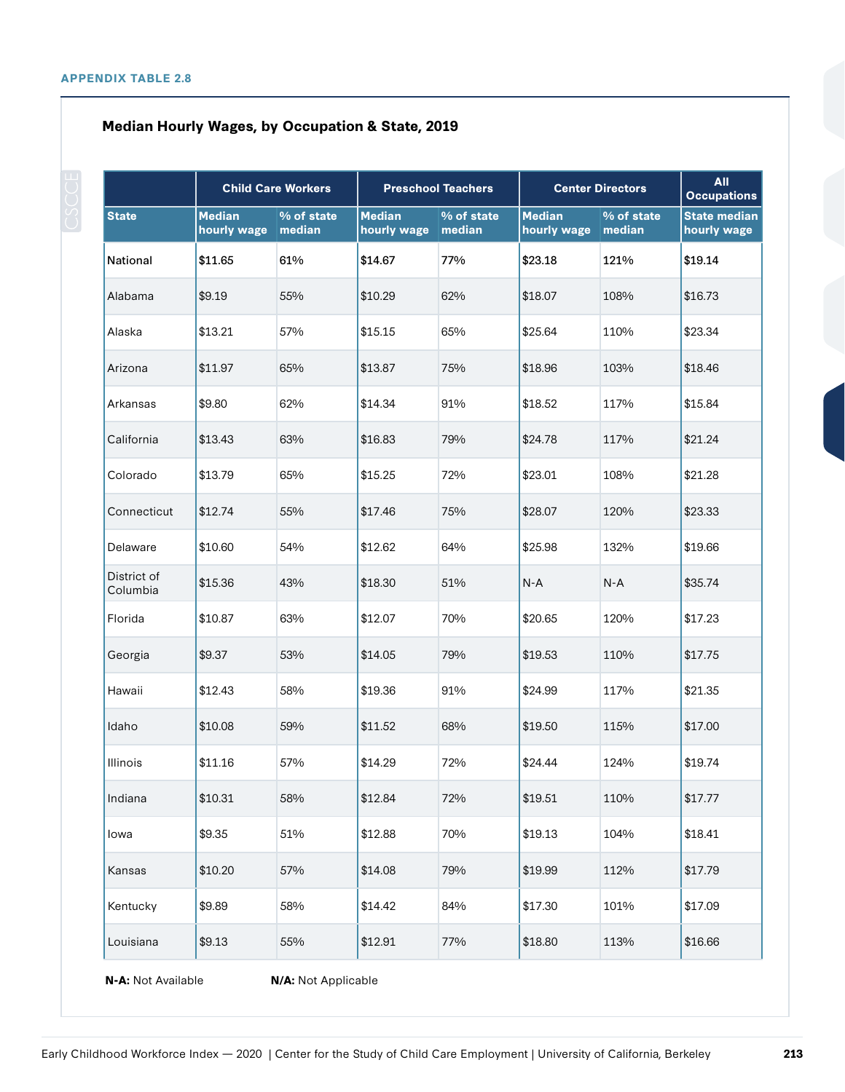## **Median Hourly Wages, by Occupation & State, 2019**

|                         | <b>Child Care Workers</b>    |                      | <b>Preschool Teachers</b>    |                      | <b>Center Directors</b>      |                      | <b>All</b><br><b>Occupations</b>   |  |
|-------------------------|------------------------------|----------------------|------------------------------|----------------------|------------------------------|----------------------|------------------------------------|--|
| <b>State</b>            | <b>Median</b><br>hourly wage | % of state<br>median | <b>Median</b><br>hourly wage | % of state<br>median | <b>Median</b><br>hourly wage | % of state<br>median | <b>State median</b><br>hourly wage |  |
| National                | \$11.65                      | 61%                  | \$14.67                      | 77%                  | \$23.18                      | 121%                 | \$19.14                            |  |
| Alabama                 | \$9.19                       | 55%                  | \$10.29                      | 62%                  | \$18.07                      | 108%                 | \$16.73                            |  |
| Alaska                  | \$13.21                      | 57%                  | \$15.15                      | 65%                  | \$25.64                      | 110%                 | \$23.34                            |  |
| Arizona                 | \$11.97                      | 65%                  | \$13.87                      | 75%                  | \$18.96                      | 103%                 | \$18.46                            |  |
| Arkansas                | \$9.80                       | 62%                  | \$14.34                      | 91%                  | \$18.52                      | 117%                 | \$15.84                            |  |
| California              | \$13.43                      | 63%                  | \$16.83                      | 79%                  | \$24.78                      | 117%                 | \$21.24                            |  |
| Colorado                | \$13.79                      | 65%                  | \$15.25                      | 72%                  | \$23.01                      | 108%                 | \$21.28                            |  |
| Connecticut             | \$12.74                      | 55%                  | \$17.46                      | 75%                  | \$28.07                      | 120%                 | \$23.33                            |  |
| Delaware                | \$10.60                      | 54%                  | \$12.62                      | 64%                  | \$25.98                      | 132%                 | \$19.66                            |  |
| District of<br>Columbia | \$15.36                      | 43%                  | \$18.30                      | 51%                  | $N-A$                        | $N-A$                | \$35.74                            |  |
| Florida                 | \$10.87                      | 63%                  | \$12.07                      | 70%                  | \$20.65                      | 120%                 | \$17.23                            |  |
| Georgia                 | \$9.37                       | 53%                  | \$14.05                      | 79%                  | \$19.53                      | 110%                 | \$17.75                            |  |
| Hawaii                  | \$12.43                      | 58%                  | \$19.36                      | 91%                  | \$24.99                      | 117%                 | \$21.35                            |  |
| Idaho                   | \$10.08                      | 59%                  | \$11.52                      | 68%                  | \$19.50                      | 115%                 | \$17.00                            |  |
| Illinois                | \$11.16                      | 57%                  | \$14.29                      | 72%                  | \$24.44                      | 124%                 | \$19.74                            |  |
| Indiana                 | \$10.31                      | 58%                  | \$12.84                      | 72%                  | \$19.51                      | 110%                 | \$17.77                            |  |
| lowa                    | \$9.35                       | 51%                  | \$12.88                      | 70%                  | \$19.13                      | 104%                 | \$18.41                            |  |
| Kansas                  | \$10.20                      | 57%                  | \$14.08                      | 79%                  | \$19.99                      | 112%                 | \$17.79                            |  |
| Kentucky                | \$9.89                       | 58%                  | \$14.42                      | 84%                  | \$17.30                      | 101%                 | \$17.09                            |  |
| Louisiana               | \$9.13                       | 55%                  | \$12.91                      | 77%                  | \$18.80                      | 113%                 | \$16.66                            |  |

**N-A:** Not Available **N/A:** Not Applicable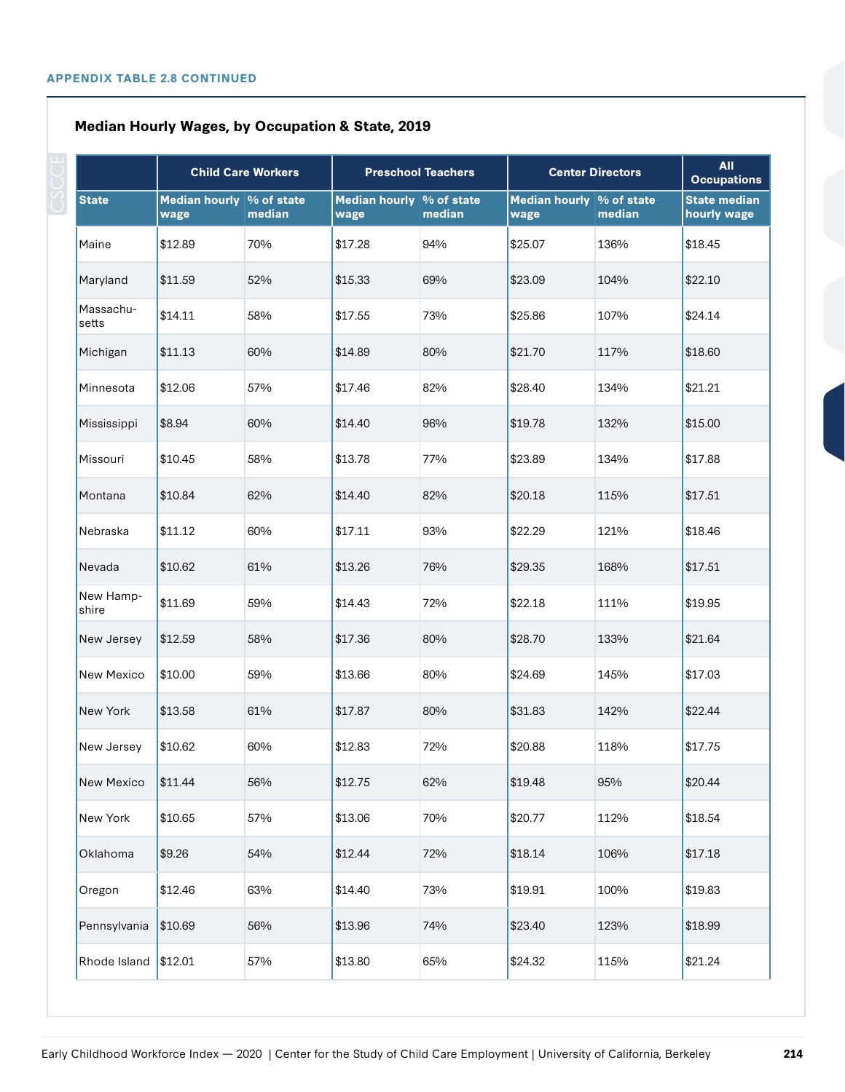## **Median Hourly Wages, by Occupation & State, 2019**

|                    | <b>Child Care Workers</b>        |        | <b>Preschool Teachers</b>        |        | <b>Center Directors</b>          |        | <b>All</b><br><b>Occupations</b>   |
|--------------------|----------------------------------|--------|----------------------------------|--------|----------------------------------|--------|------------------------------------|
| <b>State</b>       | Median hourly % of state<br>wage | median | Median hourly % of state<br>wage | median | Median hourly % of state<br>wage | median | <b>State median</b><br>hourly wage |
| Maine              | \$12.89                          | 70%    | \$17.28                          | 94%    | \$25.07                          | 136%   | \$18.45                            |
| Maryland           | \$11.59                          | 52%    | \$15.33                          | 69%    | \$23.09                          | 104%   | \$22.10                            |
| Massachu-<br>setts | \$14.11                          | 58%    | \$17.55                          | 73%    | \$25.86                          | 107%   | \$24.14                            |
| Michigan           | \$11.13                          | 60%    | \$14.89                          | 80%    | \$21.70                          | 117%   | \$18.60                            |
| Minnesota          | \$12.06                          | 57%    | \$17.46                          | 82%    | \$28.40                          | 134%   | \$21.21                            |
| Mississippi        | \$8.94                           | 60%    | \$14.40                          | 96%    | \$19.78                          | 132%   | \$15.00                            |
| Missouri           | \$10.45                          | 58%    | \$13.78                          | 77%    | \$23.89                          | 134%   | \$17.88                            |
| Montana            | \$10.84                          | 62%    | \$14.40                          | 82%    | \$20.18                          | 115%   | \$17.51                            |
| Nebraska           | \$11.12                          | 60%    | \$17.11                          | 93%    | \$22.29                          | 121%   | \$18.46                            |
| Nevada             | \$10.62                          | 61%    | \$13.26                          | 76%    | \$29.35                          | 168%   | \$17.51                            |
| New Hamp-<br>shire | \$11.69                          | 59%    | \$14.43                          | 72%    | \$22.18                          | 111%   | \$19.95                            |
| New Jersey         | \$12.59                          | 58%    | \$17.36                          | 80%    | \$28.70                          | 133%   | \$21.64                            |
| New Mexico         | \$10.00                          | 59%    | \$13.66                          | 80%    | \$24.69                          | 145%   | \$17.03                            |
| New York           | \$13.58                          | 61%    | \$17.87                          | 80%    | \$31.83                          | 142%   | \$22.44                            |
| New Jersey         | \$10.62                          | 60%    | \$12.83                          | 72%    | \$20.88                          | 118%   | \$17.75                            |
| New Mexico         | \$11.44                          | 56%    | \$12.75                          | 62%    | \$19.48                          | 95%    | \$20.44                            |
| New York           | \$10.65                          | 57%    | \$13.06                          | 70%    | \$20.77                          | 112%   | \$18.54                            |
| Oklahoma           | \$9.26                           | 54%    | \$12.44                          | 72%    | \$18.14                          | 106%   | \$17.18                            |
| Oregon             | \$12.46                          | 63%    | \$14.40                          | 73%    | \$19.91                          | 100%   | \$19.83                            |
| Pennsylvania       | \$10.69                          | 56%    | \$13.96                          | 74%    | \$23.40                          | 123%   | \$18.99                            |
| Rhode Island       | \$12.01                          | 57%    | \$13.80                          | 65%    | \$24.32                          | 115%   | \$21.24                            |